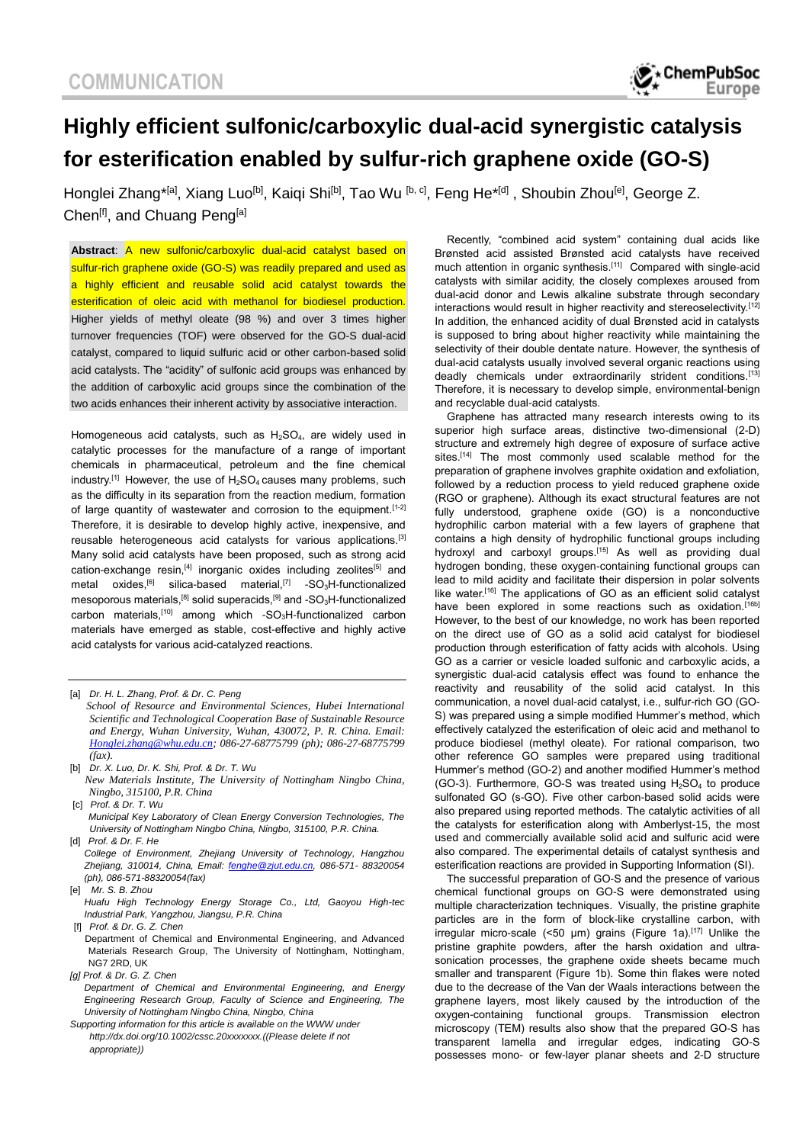# **Highly efficient sulfonic/carboxylic dual-acid synergistic catalysis for esterification enabled by sulfur-rich graphene oxide (GO-S)**

Honglei Zhang\*<sup>[a]</sup>, Xiang Luo<sup>[b]</sup>, Kaiqi Shi<sup>[b]</sup>, Tao Wu <sup>[b, c]</sup>, Feng He\*<sup>[d]</sup>, Shoubin Zhou<sup>[e]</sup>, George Z. Chen<sup>[f]</sup>, and Chuang Peng<sup>[a]</sup>

**Abstract**: A new sulfonic/carboxylic dual-acid catalyst based on sulfur-rich graphene oxide (GO-S) was readily prepared and used as a highly efficient and reusable solid acid catalyst towards the esterification of oleic acid with methanol for biodiesel production. Higher yields of methyl oleate (98 %) and over 3 times higher turnover frequencies (TOF) were observed for the GO-S dual-acid catalyst, compared to liquid sulfuric acid or other carbon-based solid acid catalysts. The "acidity" of sulfonic acid groups was enhanced by the addition of carboxylic acid groups since the combination of the two acids enhances their inherent activity by associative interaction.

Homogeneous acid catalysts, such as  $H_2SO_4$ , are widely used in catalytic processes for the manufacture of a range of important chemicals in pharmaceutical, petroleum and the fine chemical industry.<sup>[1]</sup> However, the use of  $H_2SO_4$  causes many problems, such as the difficulty in its separation from the reaction medium, formation of large quantity of wastewater and corrosion to the equipment.<sup>[1-2]</sup> Therefore, it is desirable to develop highly active, inexpensive, and reusable heterogeneous acid catalysts for various applications.[3] Many solid acid catalysts have been proposed, such as strong acid cation-exchange resin,<sup>[4]</sup> inorganic oxides including zeolites<sup>[5]</sup> and metal oxides,<sup>[6]</sup> silica-based material,<sup>[7]</sup> -SO<sub>3</sub>H-functionalized mesoporous materials,<sup>[8]</sup> solid superacids,<sup>[9]</sup> and -SO<sub>3</sub>H-functionalized carbon materials,<sup>[10]</sup> among which -SO<sub>3</sub>H-functionalized carbon materials have emerged as stable, cost-effective and highly active acid catalysts for various acid-catalyzed reactions.

- *New Materials Institute, The University of Nottingham Ningbo China, Ningbo, 315100, P.R. China* [c] *Prof. & Dr. T. Wu*
- *Municipal Key Laboratory of Clean Energy Conversion Technologies, The University of Nottingham Ningbo China, Ningbo, 315100, P.R. China.* [d] *Prof. & Dr. F. He*
- *College of Environment, Zhejiang University of Technology, Hangzhou Zhejiang, 310014, China, Email: [fenghe@zjut.edu.cn,](mailto:fenghe@zjut.edu.cn) 086-571- 88320054 (ph), 086-571-88320054(fax)*
- [e] *Mr. S. B. Zhou*
- *Huafu High Technology Energy Storage Co., Ltd, Gaoyou High-tec Industrial Park, Yangzhou, Jiangsu, P.R. China*
- [f] *Prof. & Dr. G. Z. Chen* Department of Chemical and Environmental Engineering, and Advanced Materials Research Group, The University of Nottingham, Nottingham, NG7 2RD, UK
- *[g] Prof. & Dr. G. Z. Chen*
- *Department of Chemical and Environmental Engineering, and Energy Engineering Research Group, Faculty of Science and Engineering, The University of Nottingham Ningbo China, Ningbo, China*
- *Supporting information for this article is available on the WWW under http://dx.doi.org/10.1002/cssc.20xxxxxxx.((Please delete if not appropriate))*

Recently, "combined acid system" containing dual acids like Brønsted acid assisted Brønsted acid catalysts have received much attention in organic synthesis.<sup>[11]</sup> Compared with single-acid catalysts with similar acidity, the closely complexes aroused from dual-acid donor and Lewis alkaline substrate through secondary interactions would result in higher reactivity and stereoselectivity.<sup>[12]</sup> In addition, the enhanced acidity of dual Brønsted acid in catalysts is supposed to bring about higher reactivity while maintaining the selectivity of their double dentate nature. However, the synthesis of dual-acid catalysts usually involved several organic reactions using deadly chemicals under extraordinarily strident conditions.<sup>[13]</sup> Therefore, it is necessary to develop simple, environmental-benign and recyclable dual-acid catalysts.

Graphene has attracted many research interests owing to its superior high surface areas, distinctive two-dimensional (2-D) structure and extremely high degree of exposure of surface active sites.<sup>[14]</sup> The most commonly used scalable method for the preparation of graphene involves graphite oxidation and exfoliation, followed by a reduction process to yield reduced graphene oxide (RGO or graphene). Although its exact structural features are not fully understood, graphene oxide (GO) is a nonconductive hydrophilic carbon material with a few layers of graphene that contains a high density of hydrophilic functional groups including hydroxyl and carboxyl groups.<sup>[15]</sup> As well as providing dual hydrogen bonding, these oxygen-containing functional groups can lead to mild acidity and facilitate their dispersion in polar solvents like water.<sup>[16]</sup> The applications of GO as an efficient solid catalyst have been explored in some reactions such as oxidation.<sup>[16b]</sup> However, to the best of our knowledge, no work has been reported on the direct use of GO as a solid acid catalyst for biodiesel production through esterification of fatty acids with alcohols. Using GO as a carrier or vesicle loaded sulfonic and carboxylic acids, a synergistic dual-acid catalysis effect was found to enhance the reactivity and reusability of the solid acid catalyst. In this communication, a novel dual-acid catalyst, i.e., sulfur-rich GO (GO-S) was prepared using a simple modified Hummer's method, which effectively catalyzed the esterification of oleic acid and methanol to produce biodiesel (methyl oleate). For rational comparison, two other reference GO samples were prepared using traditional Hummer's method (GO-2) and another modified Hummer's method (GO-3). Furthermore, GO-S was treated using  $H_2SO_4$  to produce sulfonated GO (s-GO). Five other carbon-based solid acids were also prepared using reported methods. The catalytic activities of all the catalysts for esterification along with Amberlyst-15, the most used and commercially available solid acid and sulfuric acid were also compared. The experimental details of catalyst synthesis and esterification reactions are provided in Supporting Information (SI).

The successful preparation of GO-S and the presence of various chemical functional groups on GO-S were demonstrated using multiple characterization techniques. Visually, the pristine graphite particles are in the form of block-like crystalline carbon, with irregular micro-scale (<50  $\mu$ m) grains (Figure 1a).<sup>[17]</sup> Unlike the pristine graphite powders, after the harsh oxidation and ultrasonication processes, the graphene oxide sheets became much smaller and transparent (Figure 1b). Some thin flakes were noted due to the decrease of the Van der Waals interactions between the graphene layers, most likely caused by the introduction of the oxygen-containing functional groups. Transmission electron microscopy (TEM) results also show that the prepared GO-S has transparent lamella and irregular edges, indicating GO-S possesses mono- or few-layer planar sheets and 2-D structure

<sup>[</sup>a] *Dr. H. L. Zhang, Prof. & Dr. C. Peng School of Resource and Environmental Sciences, Hubei International Scientific and Technological Cooperation Base of Sustainable Resource and Energy, Wuhan University, Wuhan, 430072, P. R. China. Email: [Honglei.zhang@whu.edu.cn;](mailto:Honglei.zhang@whu.edu.cn) 086-27-68775799 (ph); 086-27-68775799 (fax).*

<sup>[</sup>b] *Dr. X. Luo, Dr. K. Shi, Prof. & Dr. T. Wu*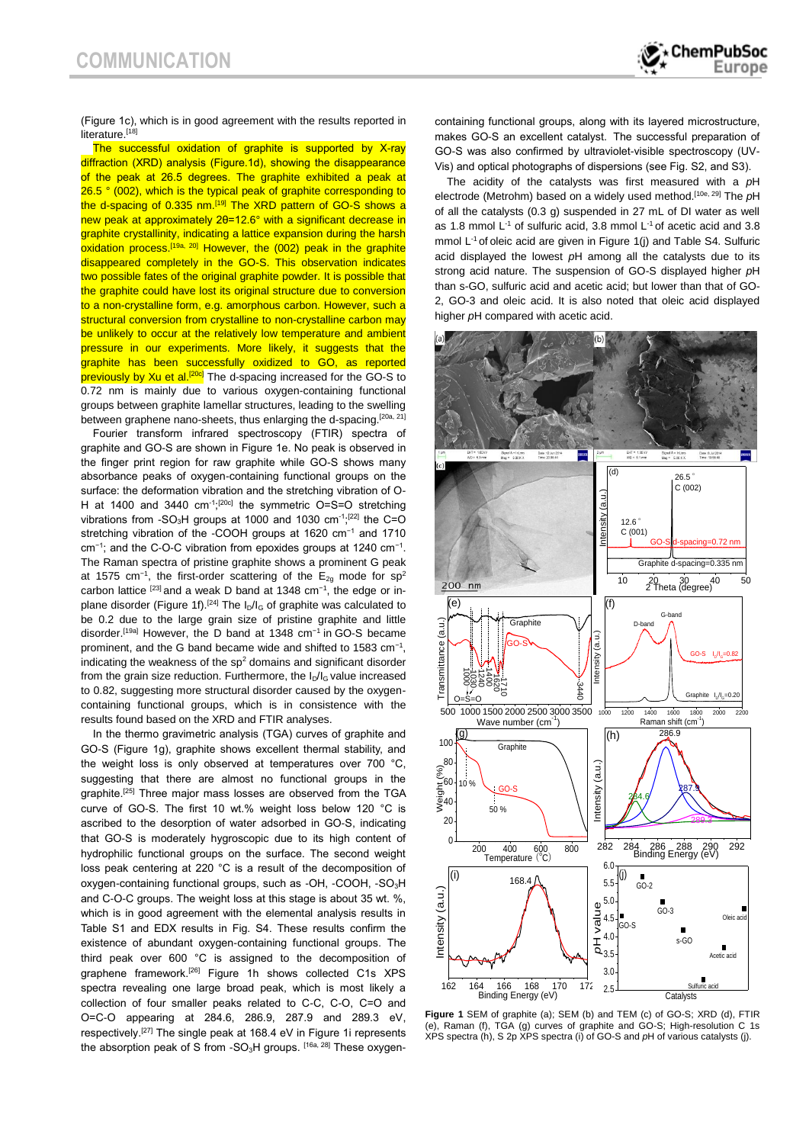

(Figure 1c), which is in good agreement with the results reported in literature.<sup>[18]</sup>

The successful oxidation of graphite is supported by X-ray diffraction (XRD) analysis (Figure.1d), showing the disappearance of the peak at 26.5 degrees. The graphite exhibited a peak at 26.5 ° (002), which is the typical peak of graphite corresponding to the d-spacing of 0.335 nm.<sup>[19]</sup> The XRD pattern of GO-S shows a new peak at approximately 2θ=12.6° with a significant decrease in graphite crystallinity, indicating a lattice expansion during the harsh oxidation process.<sup>[19a, 20]</sup> However, the (002) peak in the graphite disappeared completely in the GO-S. This observation indicates two possible fates of the original graphite powder. It is possible that the graphite could have lost its original structure due to conversion to a non-crystalline form, e.g. amorphous carbon. However, such a structural conversion from crystalline to non-crystalline carbon may be unlikely to occur at the relatively low temperature and ambient pressure in our experiments. More likely, it suggests that the graphite has been successfully oxidized to GO, as reported previously by Xu et al.<sup>[20c]</sup> The d-spacing increased for the GO-S to 0.72 nm is mainly due to various oxygen-containing functional groups between graphite lamellar structures, leading to the swelling between graphene nano-sheets, thus enlarging the d-spacing.<sup>[20a, 21]</sup>

Fourier transform infrared spectroscopy (FTIR) spectra of graphite and GO-S are shown in Figure 1e. No peak is observed in the finger print region for raw graphite while GO-S shows many absorbance peaks of oxygen-containing functional groups on the surface: the deformation vibration and the stretching vibration of O-H at 1400 and 3440  $cm^{-1}$ ;<sup>[20c]</sup> the symmetric O=S=O stretching vibrations from -SO<sub>3</sub>H groups at 1000 and 1030  $cm^{-1}$ <sup>[22]</sup> the C=O stretching vibration of the -COOH groups at 1620 cm<sup>-1</sup> and 1710 cm<sup>-1</sup>; and the C-O-C vibration from epoxides groups at 1240 cm<sup>-1</sup>. The Raman spectra of pristine graphite shows a prominent G peak at 1575 cm<sup>-1</sup>, the first-order scattering of the E<sub>2g</sub> mode for sp<sup>2</sup> carbon lattice <sup>[23]</sup> and a weak D band at 1348 cm<sup>-1</sup>, the edge or inplane disorder (Figure 1f).<sup>[24]</sup> The I<sub>D</sub>/I<sub>G</sub> of graphite was calculated to be 0.2 due to the large grain size of pristine graphite and little disorder.<sup>[19a]</sup> However, the D band at 1348 cm<sup>-1</sup> in GO-S became prominent, and the G band became wide and shifted to 1583 cm<sup>-1</sup>, indicating the weakness of the  $sp<sup>2</sup>$  domains and significant disorder from the grain size reduction. Furthermore, the  $I_D/I_G$  value increased to 0.82, suggesting more structural disorder caused by the oxygencontaining functional groups, which is in consistence with the results found based on the XRD and FTIR analyses.

In the thermo gravimetric analysis (TGA) curves of graphite and GO-S (Figure 1g), graphite shows excellent thermal stability, and the weight loss is only observed at temperatures over 700 °C, suggesting that there are almost no functional groups in the graphite.<sup>[25]</sup> Three major mass losses are observed from the TGA curve of GO-S. The first 10 wt.% weight loss below 120 °C is ascribed to the desorption of water adsorbed in GO-S, indicating that GO-S is moderately hygroscopic due to its high content of hydrophilic functional groups on the surface. The second weight loss peak centering at 220 °C is a result of the decomposition of oxygen-containing functional groups, such as -OH, -COOH, -SO<sub>3</sub>H and C-O-C groups. The weight loss at this stage is about 35 wt. %, which is in good agreement with the elemental analysis results in Table S1 and EDX results in Fig. S4. These results confirm the existence of abundant oxygen-containing functional groups. The third peak over 600 °C is assigned to the decomposition of graphene framework.[26] Figure 1h shows collected C1s XPS spectra revealing one large broad peak, which is most likely a collection of four smaller peaks related to C-C, C-O, C=O and O=C-O appearing at 284.6, 286.9, 287.9 and 289.3 eV, respectively.<sup>[27]</sup> The single peak at 168.4 eV in Figure 1i represents the absorption peak of S from -SO<sub>3</sub>H groups. [16a, 28] These oxygencontaining functional groups, along with its layered microstructure, makes GO-S an excellent catalyst. The successful preparation of GO-S was also confirmed by ultraviolet-visible spectroscopy (UV-Vis) and optical photographs of dispersions (see Fig. S2, and S3).

The acidity of the catalysts was first measured with a *p*H electrode (Metrohm) based on a widely used method.[10e, 29] The *p*H of all the catalysts (0.3 g) suspended in 27 mL of DI water as well as 1.8 mmol L<sup>-1</sup> of sulfuric acid, 3.8 mmol L<sup>-1</sup> of acetic acid and 3.8 mmol L<sup>-1</sup> of oleic acid are given in Figure 1(j) and Table S4. Sulfuric acid displayed the lowest *p*H among all the catalysts due to its strong acid nature. The suspension of GO-S displayed higher *p*H than s-GO, sulfuric acid and acetic acid; but lower than that of GO-2, GO-3 and oleic acid. It is also noted that oleic acid displayed higher *p*H compared with acetic acid.



**Figure 1** SEM of graphite (a); SEM (b) and TEM (c) of GO-S; XRD (d), FTIR (e), Raman (f), TGA (g) curves of graphite and GO-S; High-resolution C 1s XPS spectra (h), S 2p XPS spectra (i) of GO-S and *p*H of various catalysts (j).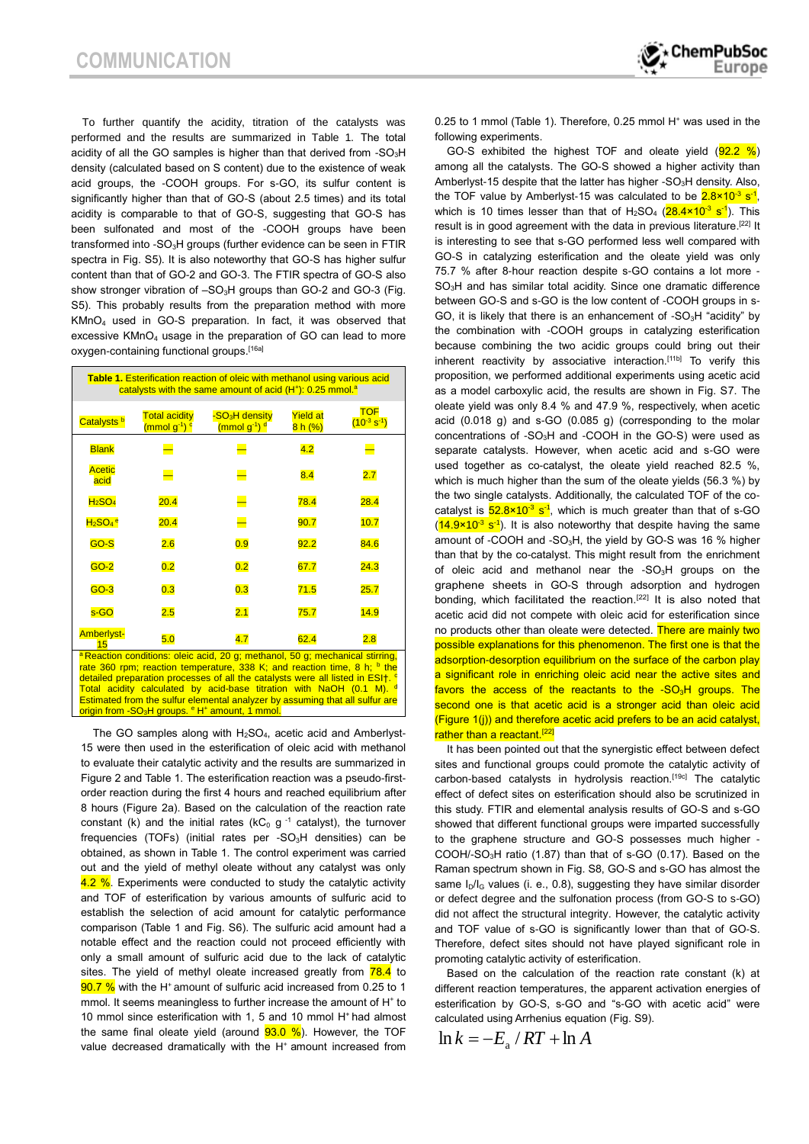To further quantify the acidity, titration of the catalysts was performed and the results are summarized in Table 1. The total acidity of all the GO samples is higher than that derived from  $-SO<sub>3</sub>H$ density (calculated based on S content) due to the existence of weak acid groups, the -COOH groups. For s-GO, its sulfur content is significantly higher than that of GO-S (about 2.5 times) and its total acidity is comparable to that of GO-S, suggesting that GO-S has been sulfonated and most of the -COOH groups have been transformed into  $-SO<sub>3</sub>H$  groups (further evidence can be seen in FTIR spectra in Fig. S5). It is also noteworthy that GO-S has higher sulfur content than that of GO-2 and GO-3. The FTIR spectra of GO-S also show stronger vibration of -SO<sub>3</sub>H groups than GO-2 and GO-3 (Fig. S5). This probably results from the preparation method with more KMnO<sup>4</sup> used in GO-S preparation. In fact, it was observed that excessive KMnO<sup>4</sup> usage in the preparation of GO can lead to more oxygen-containing functional groups.[16a]

| <b>Table 1. Esterification reaction of oleic with methanol using various acid</b><br>catalysts with the same amount of acid (H <sup>+</sup> ): 0.25 mmol. <sup>a</sup>                                                                                                                                                                                                                                                                                                                                                      |                                                              |                                                                    |                            |                                  |
|-----------------------------------------------------------------------------------------------------------------------------------------------------------------------------------------------------------------------------------------------------------------------------------------------------------------------------------------------------------------------------------------------------------------------------------------------------------------------------------------------------------------------------|--------------------------------------------------------------|--------------------------------------------------------------------|----------------------------|----------------------------------|
| Catalysts <sup>b</sup>                                                                                                                                                                                                                                                                                                                                                                                                                                                                                                      | <b>Total acidity</b><br>(mmol g <sup>-1</sup> ) <sup>c</sup> | -SO <sub>3</sub> H density<br>(mmol g <sup>-1</sup> ) <sup>d</sup> | <b>Yield at</b><br>8 h (%) | <b>TOF</b><br>$(10^{-3} s^{-1})$ |
| <b>Blank</b>                                                                                                                                                                                                                                                                                                                                                                                                                                                                                                                |                                                              |                                                                    | 4.2                        |                                  |
| <b>Acetic</b><br>acid                                                                                                                                                                                                                                                                                                                                                                                                                                                                                                       |                                                              |                                                                    | 8.4                        | 2.7                              |
| H <sub>2</sub> SO <sub>4</sub>                                                                                                                                                                                                                                                                                                                                                                                                                                                                                              | 20.4                                                         | ⋿                                                                  | 78.4                       | 28.4                             |
| $H2SO4 e$                                                                                                                                                                                                                                                                                                                                                                                                                                                                                                                   | 20.4                                                         |                                                                    | 90.7                       | 10.7                             |
| GO-S                                                                                                                                                                                                                                                                                                                                                                                                                                                                                                                        | 2.6                                                          | 0.9                                                                | 92.2                       | 84.6                             |
| $GO-2$                                                                                                                                                                                                                                                                                                                                                                                                                                                                                                                      | 0.2                                                          | 0.2                                                                | 67.7                       | 24.3                             |
| $GO-3$                                                                                                                                                                                                                                                                                                                                                                                                                                                                                                                      | 0.3                                                          | 0.3                                                                | 71.5                       | 25.7                             |
| s-GO                                                                                                                                                                                                                                                                                                                                                                                                                                                                                                                        | 2.5                                                          | 2.1                                                                | 75.7                       | 14.9                             |
| <b>Amberlyst-</b><br>15                                                                                                                                                                                                                                                                                                                                                                                                                                                                                                     | 5.0                                                          | 4.7                                                                | 62.4                       | 2.8                              |
| <sup>a</sup> Reaction conditions: oleic acid, 20 g; methanol, 50 g; mechanical stirring,<br>rate 360 rpm; reaction temperature, 338 K; and reaction time, 8 h; $\frac{b}{c}$ the<br>detailed preparation processes of all the catalysts were all listed in ESI+. <sup>c</sup><br>Total acidity calculated by acid-base titration with NaOH (0.1 M). d<br>Estimated from the sulfur elemental analyzer by assuming that all sulfur are<br>origin from -SO <sub>3</sub> H groups. <sup>e</sup> H <sup>+</sup> amount, 1 mmol. |                                                              |                                                                    |                            |                                  |

The GO samples along with  $H<sub>2</sub>SO<sub>4</sub>$ , acetic acid and Amberlyst-15 were then used in the esterification of oleic acid with methanol to evaluate their catalytic activity and the results are summarized in Figure 2 and Table 1. The esterification reaction was a pseudo-firstorder reaction during the first 4 hours and reached equilibrium after 8 hours (Figure 2a). Based on the calculation of the reaction rate constant (k) and the initial rates ( $kC_0$  g<sup>-1</sup> catalyst), the turnover frequencies (TOFs) (initial rates per -SO<sub>3</sub>H densities) can be obtained, as shown in Table 1. The control experiment was carried out and the yield of methyl oleate without any catalyst was only 4.2 %. Experiments were conducted to study the catalytic activity and TOF of esterification by various amounts of sulfuric acid to establish the selection of acid amount for catalytic performance comparison (Table 1 and Fig. S6). The sulfuric acid amount had a notable effect and the reaction could not proceed efficiently with only a small amount of sulfuric acid due to the lack of catalytic sites. The yield of methyl oleate increased greatly from  $\frac{78.4}{78.4}$  to 90.7 % with the H<sup>+</sup> amount of sulfuric acid increased from 0.25 to 1 mmol. It seems meaningless to further increase the amount of H<sup>+</sup> to 10 mmol since esterification with 1, 5 and 10 mmol H<sup>+</sup> had almost the same final oleate yield (around  $93.0 \%$ ). However, the TOF value decreased dramatically with the H<sup>+</sup> amount increased from

0.25 to 1 mmol (Table 1). Therefore, 0.25 mmol H<sup>+</sup> was used in the following experiments.

GO-S exhibited the highest TOF and oleate yield  $(92.2 \%)$ among all the catalysts. The GO-S showed a higher activity than Amberlyst-15 despite that the latter has higher - $SO<sub>3</sub>H$  density. Also, the TOF value by Amberlyst-15 was calculated to be  $2.8 \times 10^{-3}$  s<sup>-1</sup>, which is 10 times lesser than that of  $H_2SO_4$  ( $28.4 \times 10^{-3}$  s<sup>-1</sup>). This result is in good agreement with the data in previous literature.<sup>[22]</sup> It is interesting to see that s-GO performed less well compared with GO-S in catalyzing esterification and the oleate yield was only 75.7 % after 8-hour reaction despite s-GO contains a lot more - SO<sub>3</sub>H and has similar total acidity. Since one dramatic difference between GO-S and s-GO is the low content of -COOH groups in s-GO, it is likely that there is an enhancement of  $-SO<sub>3</sub>H$  "acidity" by the combination with -COOH groups in catalyzing esterification because combining the two acidic groups could bring out their inherent reactivity by associative interaction.<sup>[11b]</sup> To verify this proposition, we performed additional experiments using acetic acid as a model carboxylic acid, the results are shown in Fig. S7. The oleate yield was only 8.4 % and 47.9 %, respectively, when acetic acid (0.018 g) and s-GO (0.085 g) (corresponding to the molar concentrations of -SO3H and -COOH in the GO-S) were used as separate catalysts. However, when acetic acid and s-GO were used together as co-catalyst, the oleate yield reached 82.5 %, which is much higher than the sum of the oleate yields (56.3 %) by the two single catalysts. Additionally, the calculated TOF of the cocatalyst is  $52.8 \times 10^{-3}$  s<sup>-1</sup>, which is much greater than that of s-GO  $(14.9 \times 10^{-3} \text{ s}^{-1})$ . It is also noteworthy that despite having the same amount of -COOH and -SO<sub>3</sub>H, the yield by GO-S was 16 % higher than that by the co-catalyst. This might result from the enrichment of oleic acid and methanol near the  $-SO<sub>3</sub>H$  groups on the graphene sheets in GO-S through adsorption and hydrogen bonding, which facilitated the reaction.<sup>[22]</sup> It is also noted that acetic acid did not compete with oleic acid for esterification since no products other than oleate were detected. There are mainly two possible explanations for this phenomenon. The first one is that the adsorption-desorption equilibrium on the surface of the carbon play a significant role in enriching oleic acid near the active sites and favors the access of the reactants to the  $-SO<sub>3</sub>H$  groups. The second one is that acetic acid is a stronger acid than oleic acid (Figure 1(j)) and therefore acetic acid prefers to be an acid catalyst, rather than a reactant.<sup>[22]</sup>

It has been pointed out that the synergistic effect between defect sites and functional groups could promote the catalytic activity of carbon-based catalysts in hydrolysis reaction.<sup>[19c]</sup> The catalytic effect of defect sites on esterification should also be scrutinized in this study. FTIR and elemental analysis results of GO-S and s-GO showed that different functional groups were imparted successfully to the graphene structure and GO-S possesses much higher - COOH/-SO3H ratio (1.87) than that of s-GO (0.17). Based on the Raman spectrum shown in Fig. S8, GO-S and s-GO has almost the same  $I_D/I_G$  values (i. e., 0.8), suggesting they have similar disorder or defect degree and the sulfonation process (from GO-S to s-GO) did not affect the structural integrity. However, the catalytic activity and TOF value of s-GO is significantly lower than that of GO-S. Therefore, defect sites should not have played significant role in promoting catalytic activity of esterification.

Based on the calculation of the reaction rate constant (k) at different reaction temperatures, the apparent activation energies of esterification by GO-S, s-GO and "s-GO with acetic acid" were calculated using Arrhenius equation (Fig. S9).

$$
\ln k = -E_{\rm a}/RT + \ln A
$$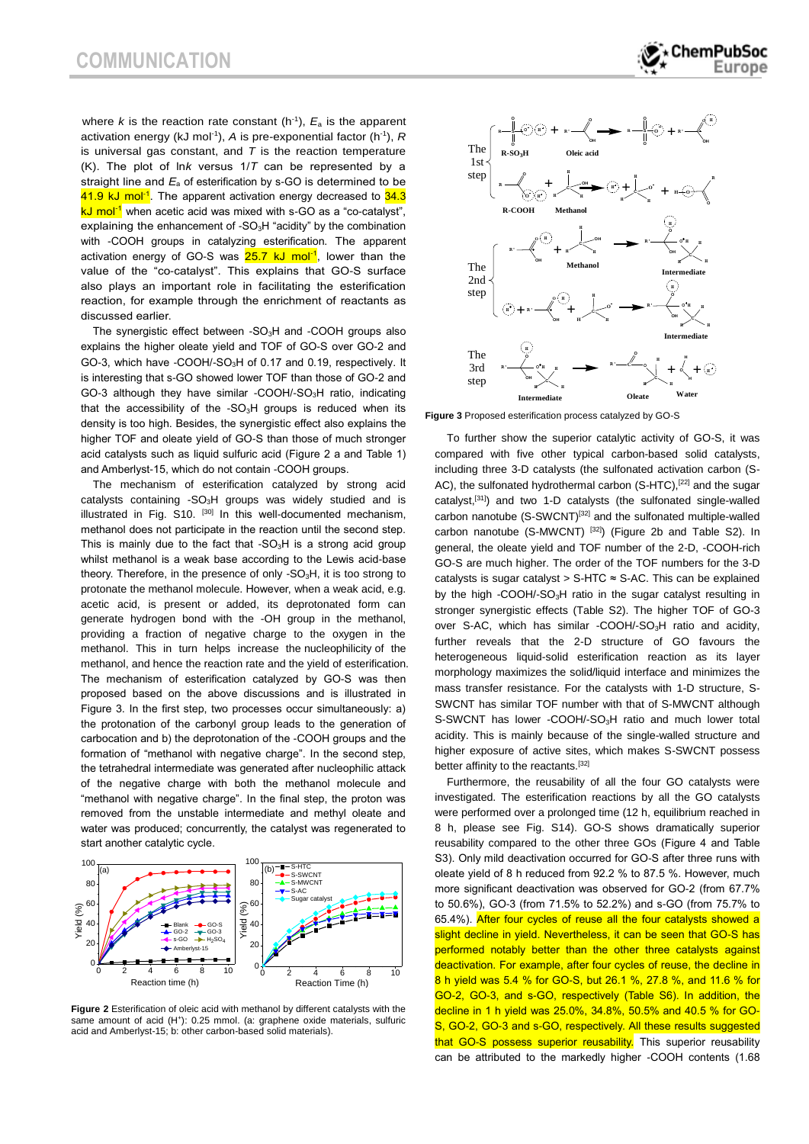where  $k$  is the reaction rate constant  $(h^{-1})$ ,  $E_a$  is the apparent activation energy (kJ mol<sup>-1</sup>), A is pre-exponential factor (h<sup>-1</sup>), R is universal gas constant, and *T* is the reaction temperature (K). The plot of ln*k* versus 1/*T* can be represented by a straight line and *E*<sup>a</sup> of esterification by s-GO is determined to be 41.9 kJ mol<sup>-1</sup>. The apparent activation energy decreased to 34.3 kJ mol<sup>-1</sup> when acetic acid was mixed with s-GO as a "co-catalyst", explaining the enhancement of -SO<sub>3</sub>H "acidity" by the combination with -COOH groups in catalyzing esterification. The apparent activation energy of GO-S was **25.7 kJ mol<sup>-1</sup>, lower than the** value of the "co-catalyst". This explains that GO-S surface also plays an important role in facilitating the esterification reaction, for example through the enrichment of reactants as discussed earlier.

The synergistic effect between - $SO<sub>3</sub>H$  and -COOH groups also explains the higher oleate yield and TOF of GO-S over GO-2 and GO-3, which have -COOH/-SO3H of 0.17 and 0.19, respectively. It is interesting that s-GO showed lower TOF than those of GO-2 and GO-3 although they have similar -COOH/-SO<sub>3</sub>H ratio, indicating that the accessibility of the  $-SO<sub>3</sub>H$  groups is reduced when its density is too high. Besides, the synergistic effect also explains the higher TOF and oleate yield of GO-S than those of much stronger acid catalysts such as liquid sulfuric acid (Figure 2 a and Table 1) and Amberlyst-15, which do not contain -COOH groups.

The mechanism of esterification catalyzed by strong acid catalysts containing -SO<sub>3</sub>H groups was widely studied and is illustrated in Fig.  $S10$ .  $[30]$  In this well-documented mechanism, methanol does not participate in the reaction until the second step. This is mainly due to the fact that  $-SO<sub>3</sub>H$  is a strong acid group whilst methanol is a weak base according to the Lewis acid-base theory. Therefore, in the presence of only - $SO<sub>3</sub>H$ , it is too strong to protonate the methanol molecule. However, when a weak acid, e.g. acetic acid, is present or added, its deprotonated form can generate hydrogen bond with the -OH group in the methanol, providing a fraction of negative charge to the oxygen in the methanol. This in turn helps increase the nucleophilicity of the methanol, and hence the reaction rate and the yield of esterification. The mechanism of esterification catalyzed by GO-S was then proposed based on the above discussions and is illustrated in Figure 3. In the first step, two processes occur simultaneously: a) the protonation of the carbonyl group leads to the generation of carbocation and b) the deprotonation of the -COOH groups and the formation of "methanol with negative charge". In the second step, the tetrahedral intermediate was generated after nucleophilic attack of the negative charge with both the methanol molecule and "methanol with negative charge". In the final step, the proton was removed from the unstable intermediate and methyl oleate and water was produced; concurrently, the catalyst was regenerated to start another catalytic cycle.



**Figure 2** Esterification of oleic acid with methanol by different catalysts with the same amount of acid (H<sup>+</sup>): 0.25 mmol. (a: graphene oxide materials, sulfuric acid and Amberlyst-15; b: other carbon-based solid materials).



**Figure 3** Proposed esterification process catalyzed by GO-S

To further show the superior catalytic activity of GO-S, it was compared with five other typical carbon-based solid catalysts, including three 3-D catalysts (the sulfonated activation carbon (S-AC), the sulfonated hydrothermal carbon (S-HTC),<sup>[22]</sup> and the sugar catalyst,[31]) and two 1-D catalysts (the sulfonated single-walled carbon nanotube (S-SWCNT)<sup>[32]</sup> and the sulfonated multiple-walled carbon nanotube (S-MWCNT)<sup>[32]</sup>) (Figure 2b and Table S2). In general, the oleate yield and TOF number of the 2-D, -COOH-rich GO-S are much higher. The order of the TOF numbers for the 3-D catalysts is sugar catalyst >  $S$ -HTC  $\approx$  S-AC. This can be explained by the high -COOH/-SO<sub>3</sub>H ratio in the sugar catalyst resulting in stronger synergistic effects (Table S2). The higher TOF of GO-3 over S-AC, which has similar -COOH/-SO<sub>3</sub>H ratio and acidity, further reveals that the 2-D structure of GO favours the heterogeneous liquid-solid esterification reaction as its layer morphology maximizes the solid/liquid interface and minimizes the mass transfer resistance. For the catalysts with 1-D structure, S-SWCNT has similar TOF number with that of S-MWCNT although S-SWCNT has lower -COOH/-SO<sub>3</sub>H ratio and much lower total acidity. This is mainly because of the single-walled structure and higher exposure of active sites, which makes S-SWCNT possess better affinity to the reactants.<sup>[32]</sup>

0 2 4 6 8 10 **8 h yield was 5.4 % for GO-S, but 26.1 %, 27.8 %, and 11.6 % for Reaction Time (h)** Furthermore, the reusability of all the four GO catalysts were investigated. The esterification reactions by all the GO catalysts were performed over a prolonged time (12 h, equilibrium reached in 8 h, please see Fig. S14). GO-S shows dramatically superior reusability compared to the other three GOs (Figure 4 and Table S3). Only mild deactivation occurred for GO-S after three runs with oleate yield of 8 h reduced from 92.2 % to 87.5 %. However, much more significant deactivation was observed for GO-2 (from 67.7% to 50.6%), GO-3 (from 71.5% to 52.2%) and s-GO (from 75.7% to 65.4%). After four cycles of reuse all the four catalysts showed a slight decline in yield. Nevertheless, it can be seen that GO-S has performed notably better than the other three catalysts against deactivation. For example, after four cycles of reuse, the decline in GO-2, GO-3, and s-GO, respectively (Table S6). In addition, the decline in 1 h yield was 25.0%, 34.8%, 50.5% and 40.5 % for GO-S, GO-2, GO-3 and s-GO, respectively. All these results suggested that GO-S possess superior reusability. This superior reusability can be attributed to the markedly higher -COOH contents (1.68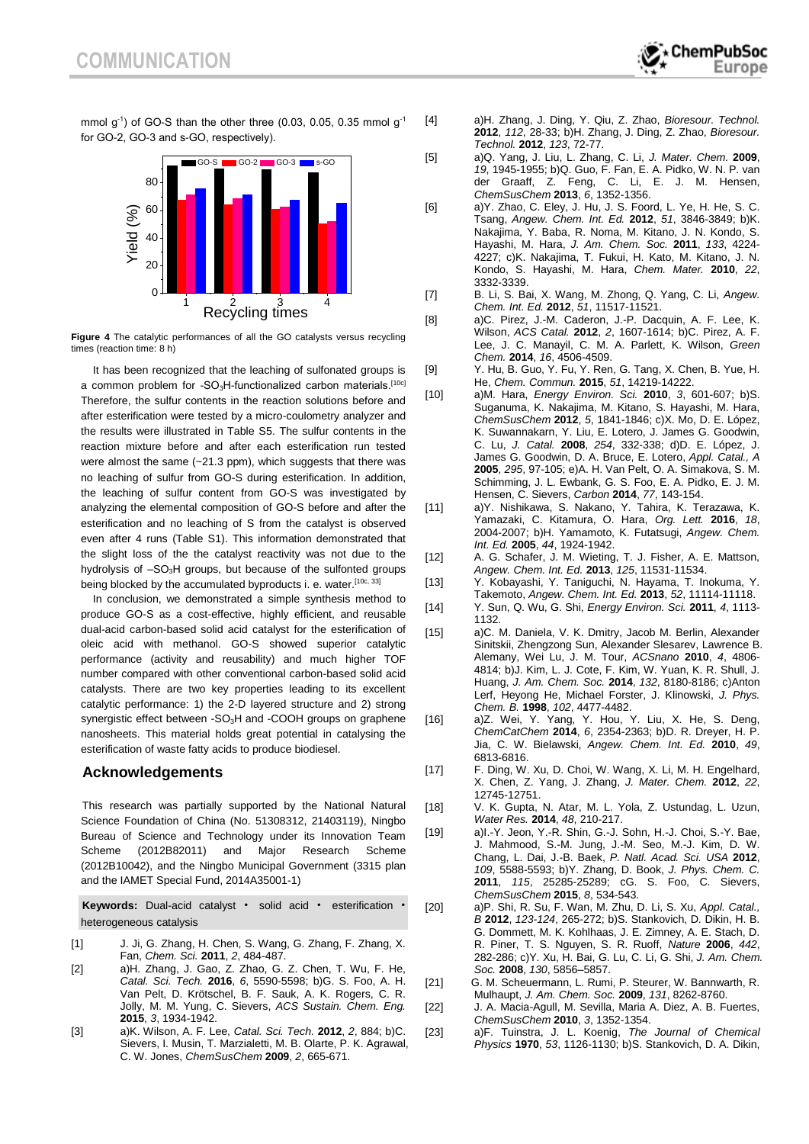mmol  $g^{-1}$ ) of GO-S than the other three (0.03, 0.05, 0.35 mmol  $g^{-1}$ for GO-2, GO-3 and s-GO, respectively).



**Figure 4** The catalytic performances of all the GO catalysts versus recycling times (reaction time: 8 h)

It has been recognized that the leaching of sulfonated groups is a common problem for -SO<sub>3</sub>H-functionalized carbon materials.<sup>[10c]</sup> Therefore, the sulfur contents in the reaction solutions before and after esterification were tested by a micro-coulometry analyzer and the results were illustrated in Table S5. The sulfur contents in the reaction mixture before and after each esterification run tested were almost the same  $(-21.3 \text{ ppm})$ , which suggests that there was no leaching of sulfur from GO-S during esterification. In addition, the leaching of sulfur content from GO-S was investigated by analyzing the elemental composition of GO-S before and after the esterification and no leaching of S from the catalyst is observed even after 4 runs (Table S1). This information demonstrated that the slight loss of the the catalyst reactivity was not due to the hydrolysis of  $-SO<sub>3</sub>H$  groups, but because of the sulfonted groups being blocked by the accumulated byproducts i. e. water.<sup>[10c, 33]</sup>

In conclusion, we demonstrated a simple synthesis method to produce GO-S as a cost-effective, highly efficient, and reusable dual-acid carbon-based solid acid catalyst for the esterification of oleic acid with methanol. GO-S showed superior catalytic performance (activity and reusability) and much higher TOF number compared with other conventional carbon-based solid acid catalysts. There are two key properties leading to its excellent catalytic performance: 1) the 2-D layered structure and 2) strong synergistic effect between -SO<sub>3</sub>H and -COOH groups on graphene nanosheets. This material holds great potential in catalysing the esterification of waste fatty acids to produce biodiesel.

### **Acknowledgements**

This research was partially supported by the National Natural Science Foundation of China (No. 51308312, 21403119), Ningbo Bureau of Science and Technology under its Innovation Team Scheme (2012B82011) and Major Research Scheme (2012B10042), and the Ningbo Municipal Government (3315 plan and the IAMET Special Fund, 2014A35001-1)

**Keywords:** Dual-acid catalyst • solid acid • esterification • heterogeneous catalysis

- [1] J. Ji, G. Zhang, H. Chen, S. Wang, G. Zhang, F. Zhang, X. Fan, *Chem. Sci.* **2011**, *2*, 484-487.
- [2] a)H. Zhang, J. Gao, Z. Zhao, G. Z. Chen, T. Wu, F. He, *Catal. Sci. Tech.* **2016**, *6*, 5590-5598; b)G. S. Foo, A. H. Van Pelt, D. Krötschel, B. F. Sauk, A. K. Rogers, C. R. Jolly, M. M. Yung, C. Sievers, *ACS Sustain. Chem. Eng.*  **2015**, *3*, 1934-1942.
- [3] a)K. Wilson, A. F. Lee, *Catal. Sci. Tech.* **2012**, *2*, 884; b)C. Sievers, I. Musin, T. Marzialetti, M. B. Olarte, P. K. Agrawal, C. W. Jones, *ChemSusChem* **2009**, *2*, 665-671.
- [4] a)H. Zhang, J. Ding, Y. Qiu, Z. Zhao, *Bioresour. Technol.*  **2012**, *112*, 28-33; b)H. Zhang, J. Ding, Z. Zhao, *Bioresour. Technol.* **2012**, *123*, 72-77.
- [5] a)Q. Yang, J. Liu, L. Zhang, C. Li, *J. Mater. Chem.* **2009**, *19*, 1945-1955; b)Q. Guo, F. Fan, E. A. Pidko, W. N. P. van der Graaff, Z. Feng, C. Li, E. J. M. Hensen, *ChemSusChem* **2013**, *6*, 1352-1356.
- [6] a)Y. Zhao, C. Eley, J. Hu, J. S. Foord, L. Ye, H. He, S. C. Tsang, *Angew. Chem. Int. Ed.* **2012**, *51*, 3846-3849; b)K. Nakajima, Y. Baba, R. Noma, M. Kitano, J. N. Kondo, S. Hayashi, M. Hara, *J. Am. Chem. Soc.* **2011**, *133*, 4224- 4227; c)K. Nakajima, T. Fukui, H. Kato, M. Kitano, J. N. Kondo, S. Hayashi, M. Hara, *Chem. Mater.* **2010**, *22*, 3332-3339.
- [7] B. Li, S. Bai, X. Wang, M. Zhong, Q. Yang, C. Li, *Angew. Chem. Int. Ed.* **2012**, *51*, 11517-11521.
- [8] a)C. Pirez, J.-M. Caderon, J.-P. Dacquin, A. F. Lee, K. Wilson, *ACS Catal.* **2012**, *2*, 1607-1614; b)C. Pirez, A. F. Lee, J. C. Manayil, C. M. A. Parlett, K. Wilson, *Green Chem.* **2014**, *16*, 4506-4509.
- [9] Y. Hu, B. Guo, Y. Fu, Y. Ren, G. Tang, X. Chen, B. Yue, H. He, *Chem. Commun.* **2015**, *51*, 14219-14222.
- [10] a)M. Hara, *Energy Environ. Sci.* **2010**, *3*, 601-607; b)S. Suganuma, K. Nakajima, M. Kitano, S. Hayashi, M. Hara, *ChemSusChem* **2012**, *5*, 1841-1846; c)X. Mo, D. E. López, K. Suwannakarn, Y. Liu, E. Lotero, J. James G. Goodwin, C. Lu, *J. Catal.* **2008**, *254*, 332-338; d)D. E. López, J. James G. Goodwin, D. A. Bruce, E. Lotero, *Appl. Catal., A*  **2005**, *295*, 97-105; e)A. H. Van Pelt, O. A. Simakova, S. M. Schimming, J. L. Ewbank, G. S. Foo, E. A. Pidko, E. J. M. Hensen, C. Sievers, *Carbon* **2014**, *77*, 143-154.
- [11] a)Y. Nishikawa, S. Nakano, Y. Tahira, K. Terazawa, K. Yamazaki, C. Kitamura, O. Hara, *Org. Lett.* **2016**, *18*, 2004-2007; b)H. Yamamoto, K. Futatsugi, *Angew. Chem. Int. Ed.* **2005**, *44*, 1924-1942.
- [12] A. G. Schafer, J. M. Wieting, T. J. Fisher, A. E. Mattson, *Angew. Chem. Int. Ed.* **2013**, *125*, 11531-11534.
- [13] Y. Kobayashi, Y. Taniguchi, N. Hayama, T. Inokuma, Y. Takemoto, *Angew. Chem. Int. Ed.* **2013**, *52*, 11114-11118.
- [14] Y. Sun, Q. Wu, G. Shi, *Energy Environ. Sci.* **2011**, *4*, 1113- 1132.
- [15] a)C. M. Daniela, V. K. Dmitry, Jacob M. Berlin, Alexander Sinitskii, Zhengzong Sun, Alexander Slesarev, Lawrence B. Alemany, Wei Lu, J. M. Tour, *ACSnano* **2010**, *4*, 4806- 4814; b)J. Kim, L. J. Cote, F. Kim, W. Yuan, K. R. Shull, J. Huang, *J. Am. Chem. Soc.* **2014**, *132*, 8180-8186; c)Anton Lerf, Heyong He, Michael Forster, J. Klinowski, *J. Phys. Chem. B.* **1998**, *102*, 4477-4482.
- [16] a)Z. Wei, Y. Yang, Y. Hou, Y. Liu, X. He, S. Deng, *ChemCatChem* **2014**, *6*, 2354-2363; b)D. R. Dreyer, H. P. Jia, C. W. Bielawski, *Angew. Chem. Int. Ed.* **2010**, *49*, 6813-6816.
- [17] F. Ding, W. Xu, D. Choi, W. Wang, X. Li, M. H. Engelhard, X. Chen, Z. Yang, J. Zhang, *J. Mater. Chem.* **2012**, *22*, 12745-12751.
- [18] V. K. Gupta, N. Atar, M. L. Yola, Z. Ustundag, L. Uzun, *Water Res.* **2014**, *48*, 210-217.
- [19] a)I.-Y. Jeon, Y.-R. Shin, G.-J. Sohn, H.-J. Choi, S.-Y. Bae, J. Mahmood, S.-M. Jung, J.-M. Seo, M.-J. Kim, D. W. Chang, L. Dai, J.-B. Baek, *P. Natl. Acad. Sci. USA* **2012**, *109*, 5588-5593; b)Y. Zhang, D. Book, *J. Phys. Chem. C.*  **2011**, *115*, 25285-25289; cG. S. Foo, C. Sievers, *ChemSusChem* **2015**, *8*, 534-543.
- [20] a)P. Shi, R. Su, F. Wan, M. Zhu, D. Li, S. Xu, *Appl. Catal., B* **2012**, *123-124*, 265-272; b)S. Stankovich, D. Dikin, H. B. G. Dommett, M. K. Kohlhaas, J. E. Zimney, A. E. Stach, D. R. Piner, T. S. Nguyen, S. R. Ruoff, *Nature* **2006**, *442*, 282-286; c)Y. Xu, H. Bai, G. Lu, C. Li, G. Shi, *J. Am. Chem. Soc.* **2008**, *130*, 5856–5857.
- [21] G. M. Scheuermann, L. Rumi, P. Steurer, W. Bannwarth, R. Mulhaupt, *J. Am. Chem. Soc.* **2009**, *131*, 8262-8760.
- [22] J. A. Macia-Agull, M. Sevilla, Maria A. Diez, A. B. Fuertes, *ChemSusChem* **2010**, *3*, 1352-1354.
- [23] a)F. Tuinstra, J. L. Koenig, *The Journal of Chemical Physics* **1970**, *53*, 1126-1130; b)S. Stankovich, D. A. Dikin,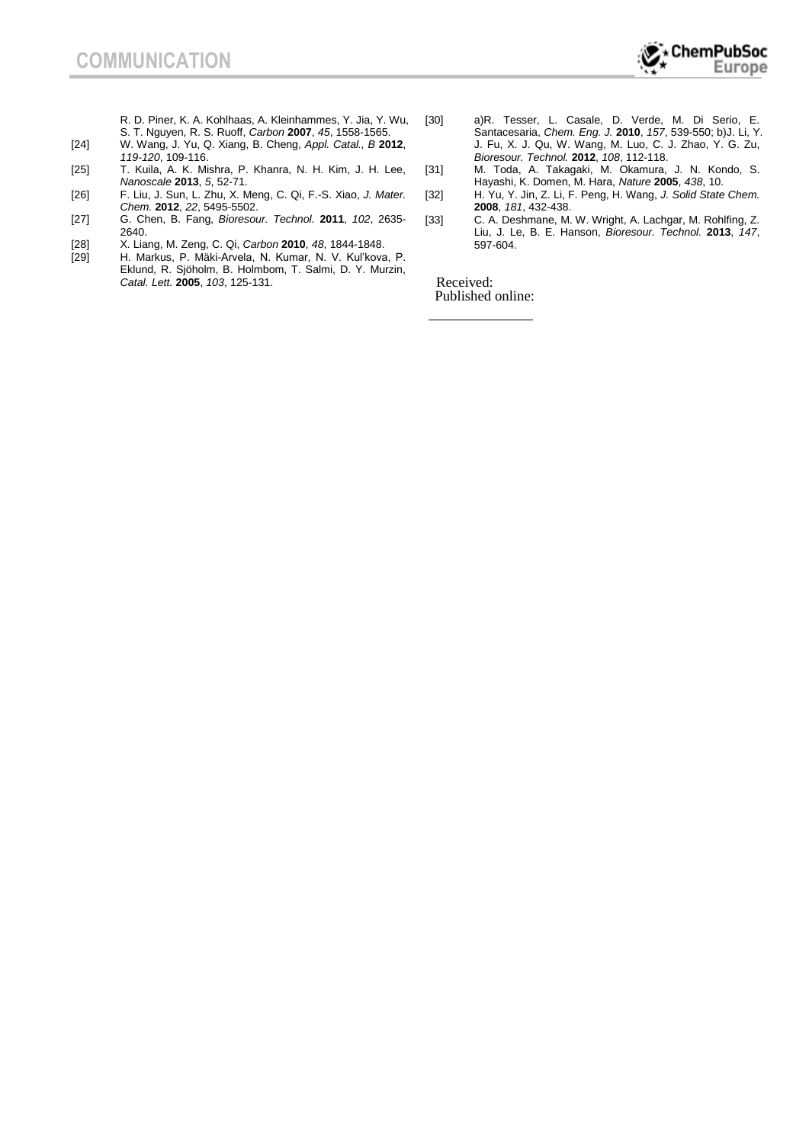R. D. Piner, K. A. Kohlhaas, A. Kleinhammes, Y. Jia, Y. Wu, S. T. Nguyen, R. S. Ruoff, *Carbon* **2007**, *45*, 1558-1565.

- [24] W. Wang, J. Yu, Q. Xiang, B. Cheng, *Appl. Catal., B* **2012**, *119-120*, 109-116.
- [25] T. Kuila, A. K. Mishra, P. Khanra, N. H. Kim, J. H. Lee, *Nanoscale* **2013**, *5*, 52-71.
- [26] F. Liu, J. Sun, L. Zhu, X. Meng, C. Qi, F.-S. Xiao, *J. Mater. Chem.* **2012**, *22*, 5495-5502.
- [27] G. Chen, B. Fang, *Bioresour. Technol.* **2011**, *102*, 2635- 2640.
- [28] X. Liang, M. Zeng, C. Qi, *Carbon* **2010**, *48*, 1844-1848.
- [29] H. Markus, P. Mäki-Arvela, N. Kumar, N. V. Kul'kova, P. Eklund, R. Sjöholm, B. Holmbom, T. Salmi, D. Y. Murzin, *Catal. Lett.* **2005**, *103*, 125-131.
- [30] a)R. Tesser, L. Casale, D. Verde, M. Di Serio, E. Santacesaria, *Chem. Eng. J.* **2010**, *157*, 539-550; b)J. Li, Y. J. Fu, X. J. Qu, W. Wang, M. Luo, C. J. Zhao, Y. G. Zu, *Bioresour. Technol.* **2012**, *108*, 112-118.
- [31] M. Toda, A. Takagaki, M. Okamura, J. N. Kondo, S. Hayashi, K. Domen, M. Hara, *Nature* **2005**, *438*, 10.
- [32] H. Yu, Y. Jin, Z. Li, F. Peng, H. Wang, *J. Solid State Chem.*  **2008**, *181*, 432-438.
- [33] C. A. Deshmane, M. W. Wright, A. Lachgar, M. Rohlfing, Z. Liu, J. Le, B. E. Hanson, *Bioresour. Technol.* **2013**, *147*, 597-604.

Received: Published online: